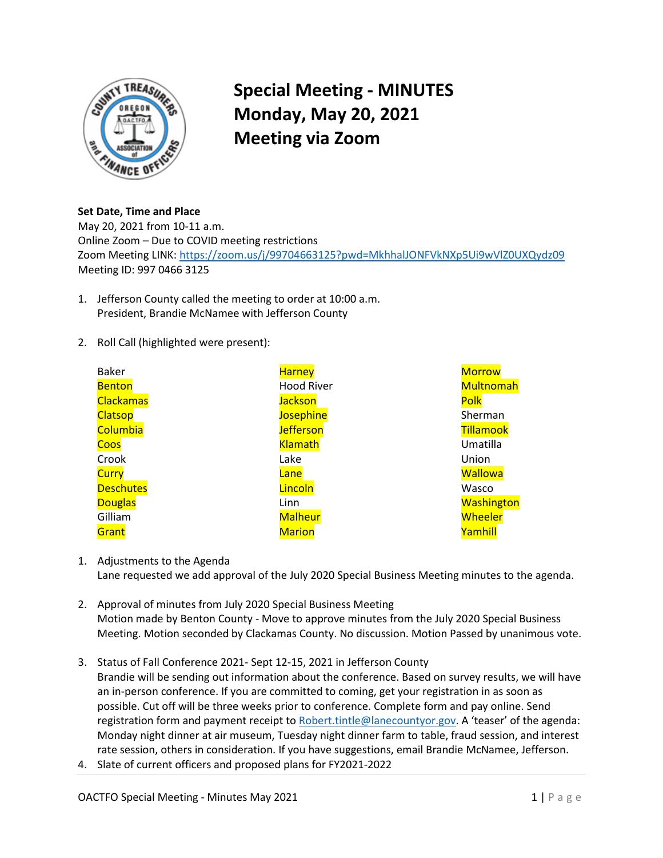

## **Special Meeting - MINUTES Monday, May 20, 2021 Meeting via Zoom**

**Set Date, Time and Place**  May 20, 2021 from 10-11 a.m. Online Zoom – Due to COVID meeting restrictions

Zoom Meeting LINK[: https://zoom.us/j/99704663125?pwd=MkhhalJONFVkNXp5Ui9wVlZ0UXQydz09](https://zoom.us/j/99704663125?pwd=MkhhalJONFVkNXp5Ui9wVlZ0UXQydz09) Meeting ID: 997 0466 3125

- 1. Jefferson County called the meeting to order at 10:00 a.m. President, Brandie McNamee with Jefferson County
- 2. Roll Call (highlighted were present):

| <b>Baker</b>     | <b>Harney</b>     | <b>Morrow</b>     |
|------------------|-------------------|-------------------|
| <b>Benton</b>    | <b>Hood River</b> | <b>Multnomah</b>  |
| <b>Clackamas</b> | <b>Jackson</b>    | Polk              |
| <b>Clatsop</b>   | <b>Josephine</b>  | Sherman           |
| Columbia         | <b>Jefferson</b>  | <b>Tillamook</b>  |
| Coos             | <b>Klamath</b>    | Umatilla          |
| Crook            | Lake              | Union             |
| <b>Curry</b>     | Lane              | <b>Wallowa</b>    |
| <b>Deschutes</b> | Lincoln           | Wasco             |
| <b>Douglas</b>   | Linn              | <b>Washington</b> |
| Gilliam          | <b>Malheur</b>    | Wheeler           |
| Grant            | <b>Marion</b>     | Yamhill           |

- 1. Adjustments to the Agenda Lane requested we add approval of the July 2020 Special Business Meeting minutes to the agenda.
- 2. Approval of minutes from July 2020 Special Business Meeting Motion made by Benton County - Move to approve minutes from the July 2020 Special Business Meeting. Motion seconded by Clackamas County. No discussion. Motion Passed by unanimous vote.
- 3. Status of Fall Conference 2021- Sept 12-15, 2021 in Jefferson County Brandie will be sending out information about the conference. Based on survey results, we will have an in-person conference. If you are committed to coming, get your registration in as soon as possible. Cut off will be three weeks prior to conference. Complete form and pay online. Send registration form and payment receipt to [Robert.tintle@lanecountyor.gov.](mailto:Robert.tintle@lanecountyor.gov) A 'teaser' of the agenda: Monday night dinner at air museum, Tuesday night dinner farm to table, fraud session, and interest rate session, others in consideration. If you have suggestions, email Brandie McNamee, Jefferson.
- 4. Slate of current officers and proposed plans for FY2021-2022